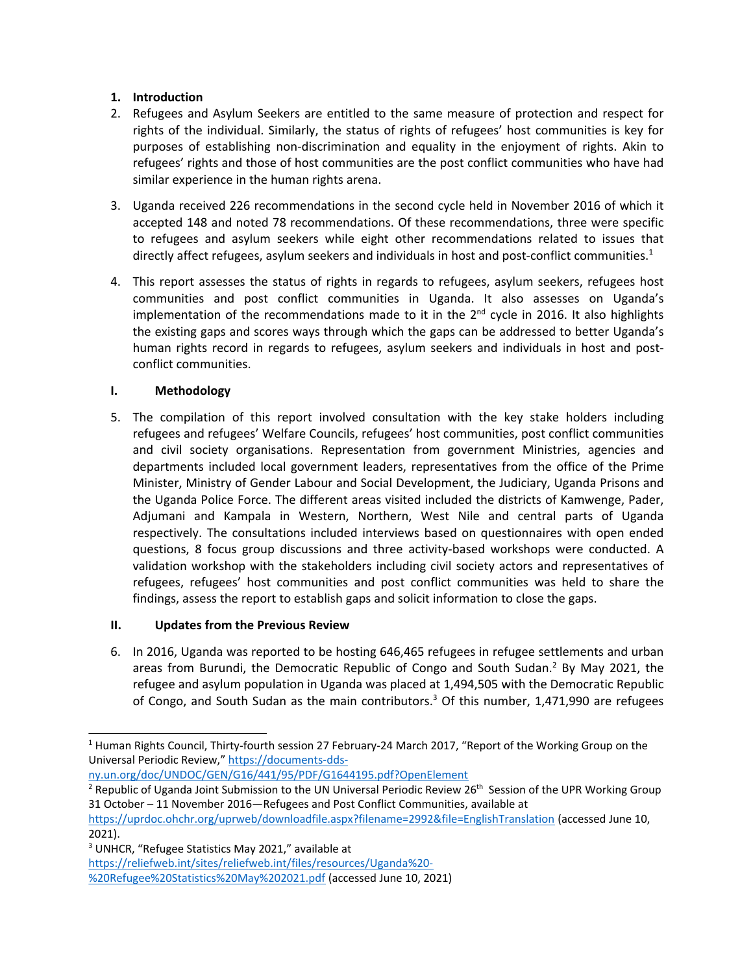# **1. Introduction**

- 2. Refugees and Asylum Seekers are entitled to the same measure of protection and respect for rights of the individual. Similarly, the status of rights of refugees' host communities is key for purposes of establishing non-discrimination and equality in the enjoyment of rights. Akin to refugees' rights and those of host communities are the post conflict communities who have had similar experience in the human rights arena.
- 3. Uganda received 226 recommendations in the second cycle held in November 2016 of which it accepted 148 and noted 78 recommendations. Of these recommendations, three were specific to refugees and asylum seekers while eight other recommendations related to issues that directly affect refugees, asylum seekers and individuals in host and post-conflict communities.<sup>1</sup>
- 4. This report assesses the status of rights in regards to refugees, asylum seekers, refugees host communities and post conflict communities in Uganda. It also assesses on Uganda'<sup>s</sup> implementation of the recommendations made to it in the  $2^{nd}$  cycle in 2016. It also highlights the existing gaps and scores ways through which the gaps can be addressed to better Uganda'<sup>s</sup> human rights record in regards to refugees, asylum seekers and individuals in host and postconflict communities.

# **I. Methodology**

5. The compilation of this report involved consultation with the key stake holders including refugees and refugees' Welfare Councils, refugees' host communities, post conflict communities and civil society organisations. Representation from government Ministries, agencies and departments included local government leaders, representatives from the office of the Prime Minister, Ministry of Gender Labour and Social Development, the Judiciary, Uganda Prisons and the Uganda Police Force. The different areas visited included the districts of Kamwenge, Pader, Adjumani and Kampala in Western, Northern, West Nile and central parts of Uganda respectively. The consultations included interviews based on questionnaires with open ended questions, 8 focus group discussions and three activity-based workshops were conducted. A validation workshop with the stakeholders including civil society actors and representatives of refugees, refugees' host communities and post conflict communities was held to share the findings, assess the report to establish gaps and solicit information to close the gaps.

# **II. Updates from the Previous Review**

6. In 2016, Uganda was reported to be hosting 646,465 refugees in refugee settlements and urban areas from Burundi, the Democratic Republic of Congo and South Sudan.<sup>2</sup> By May 2021, the refugee and asylum population in Uganda was placed at 1,494,505 with the Democratic Republic of Congo, and South Sudan as the main contributors.<sup>3</sup> Of this number, 1,471,990 are refugees

[ny.un.org/doc/UNDOC/GEN/G16/441/95/PDF/G1644195.pdf?OpenElement](https://documents-dds-ny.un.org/doc/UNDOC/GEN/G16/441/95/PDF/G1644195.pdf?OpenElement)

[https://reliefweb.int/sites/reliefweb.int/files/resources/Uganda%20-](https://reliefweb.int/sites/reliefweb.int/files/resources/Uganda%20-%20Refugee%20Statistics%20May%202021.pdf)

<sup>1</sup> Human Rights Council, Thirty-fourth session 27 February-24 March 2017, "Report of the Working Group on the Universal Periodic Review," [https://documents-dds-](https://documents-dds-ny.un.org/doc/UNDOC/GEN/G16/441/95/PDF/G1644195.pdf?OpenElement)

<sup>&</sup>lt;sup>2</sup> Republic of Uganda Joint Submission to the UN Universal Periodic Review 26<sup>th</sup> Session of the UPR Working Group 31 October – 11 November 2016—Refugees and Post Conflict Communities, available at

<https://uprdoc.ohchr.org/uprweb/downloadfile.aspx?filename=2992&file=EnglishTranslation> (accessed June 10, 2021).

<sup>&</sup>lt;sup>3</sup> UNHCR, "Refugee Statistics May 2021," available at

[<sup>%20</sup>Refugee%20Statistics%20May%202021.pdf](https://reliefweb.int/sites/reliefweb.int/files/resources/Uganda%20-%20Refugee%20Statistics%20May%202021.pdf) (accessed June 10, 2021)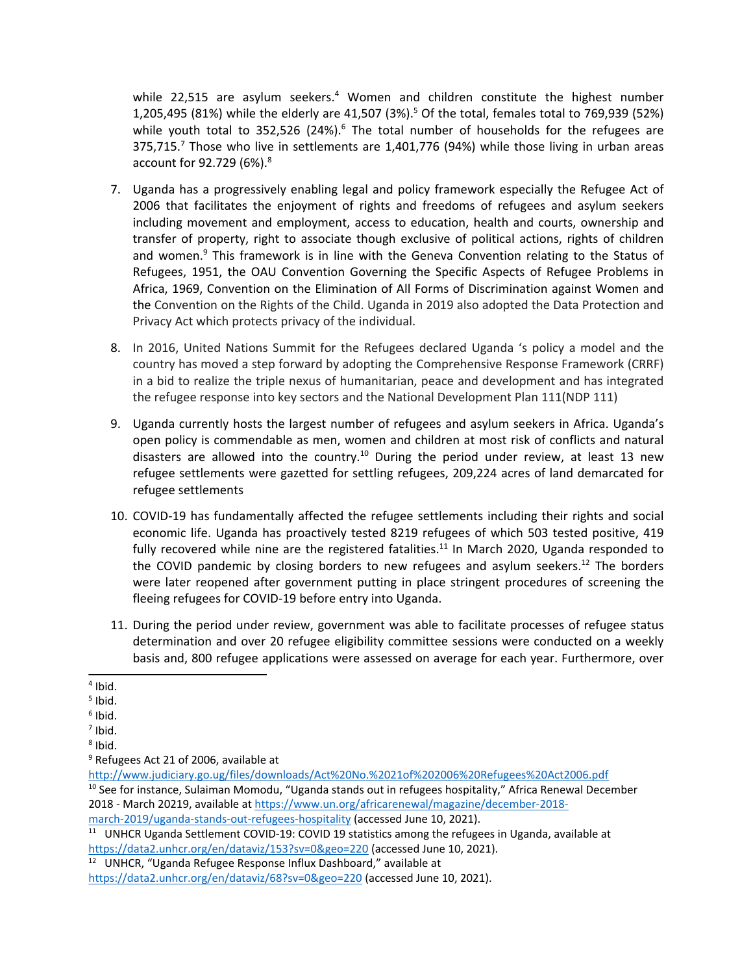while 22,515 are asylum seekers.<sup>4</sup> Women and children constitute the highest number 1,205,495 (81%) while the elderly are 41,507 (3%). 5 Of the total, females total to 769,939 (52%) while youth total to 352,526 (24%). $^6$  The total number of households for the refugees are 375,715. 7 Those who live in settlements are 1,401,776 (94%) while those living in urban areas account for 92.729 (6%). 8

- 7. Uganda has <sup>a</sup> progressively enabling legal and policy framework especially the Refugee Act of 2006 that facilitates the enjoyment of rights and freedoms of refugees and asylum seekers including movement and employment, access to education, health and courts, ownership and transfer of property, right to associate though exclusive of political actions, rights of children and women.<sup>9</sup> This framework is in line with the Geneva Convention relating to the Status of Refugees, 1951, the OAU Convention Governing the Specific Aspects of Refugee Problems in Africa, 1969, Convention on the Elimination of All Forms of Discrimination against Women and the Convention on the Rights of the Child. Uganda in 2019 also adopted the Data Protection and Privacy Act which protects privacy of the individual.
- 8. In 2016, United Nations Summit for the Refugees declared Uganda '<sup>s</sup> policy <sup>a</sup> model and the country has moved <sup>a</sup> step forward by adopting the Comprehensive Response Framework (CRRF) in <sup>a</sup> bid to realize the triple nexus of humanitarian, peace and development and has integrated the refugee response into key sectors and the National Development Plan 111(NDP 111)
- 9. Uganda currently hosts the largest number of refugees and asylum seekers in Africa. Uganda'<sup>s</sup> open policy is commendable as men, women and children at most risk of conflicts and natural disasters are allowed into the country.<sup>10</sup> During the period under review, at least 13 new refugee settlements were gazetted for settling refugees, 209,224 acres of land demarcated for refugee settlements
- 10. COVID-19 has fundamentally affected the refugee settlements including their rights and social economic life. Uganda has proactively tested 8219 refugees of which 503 tested positive, 419 fully recovered while nine are the registered fatalities.<sup>11</sup> In March 2020, Uganda responded to the COVID pandemic by closing borders to new refugees and asylum seekers.<sup>12</sup> The borders were later reopened after government putting in place stringent procedures of screening the fleeing refugees for COVID-19 before entry into Uganda.
- 11. During the period under review, government was able to facilitate processes of refugee status determination and over 20 refugee eligibility committee sessions were conducted on <sup>a</sup> weekly basis and, 800 refugee applications were assessed on average for each year. Furthermore, over

<sup>4</sup> Ibid.

<sup>5</sup> Ibid.

<sup>6</sup> Ibid.

<sup>&</sup>lt;sup>7</sup> Ibid.

<sup>8</sup> Ibid.

<sup>9</sup> Refugees Act 21 of 2006, available at

<http://www.judiciary.go.ug/files/downloads/Act%20No.%2021of%202006%20Refugees%20Act2006.pdf> <sup>10</sup> See for instance, Sulaiman Momodu, "Uganda stands out in refugees hospitality," Africa Renewal December 2018 - March 20219, available at [https://www.un.org/africarenewal/magazine/december-2018](https://www.un.org/africarenewal/magazine/december-2018-march-2019/uganda-stands-out-refugees-hospitality) [march-2019/uganda-stands-out-refugees-hospitality](https://www.un.org/africarenewal/magazine/december-2018-march-2019/uganda-stands-out-refugees-hospitality) (accessed June 10, 2021).

<sup>&</sup>lt;sup>11</sup> UNHCR Uganda Settlement COVID-19: COVID 19 statistics among the refugees in Uganda, available at <https://data2.unhcr.org/en/dataviz/153?sv=0&geo=220> (accessed June 10, 2021).

<sup>&</sup>lt;sup>12</sup> UNHCR, "Uganda Refugee Response Influx Dashboard," available at

<https://data2.unhcr.org/en/dataviz/68?sv=0&geo=220> (accessed June 10, 2021).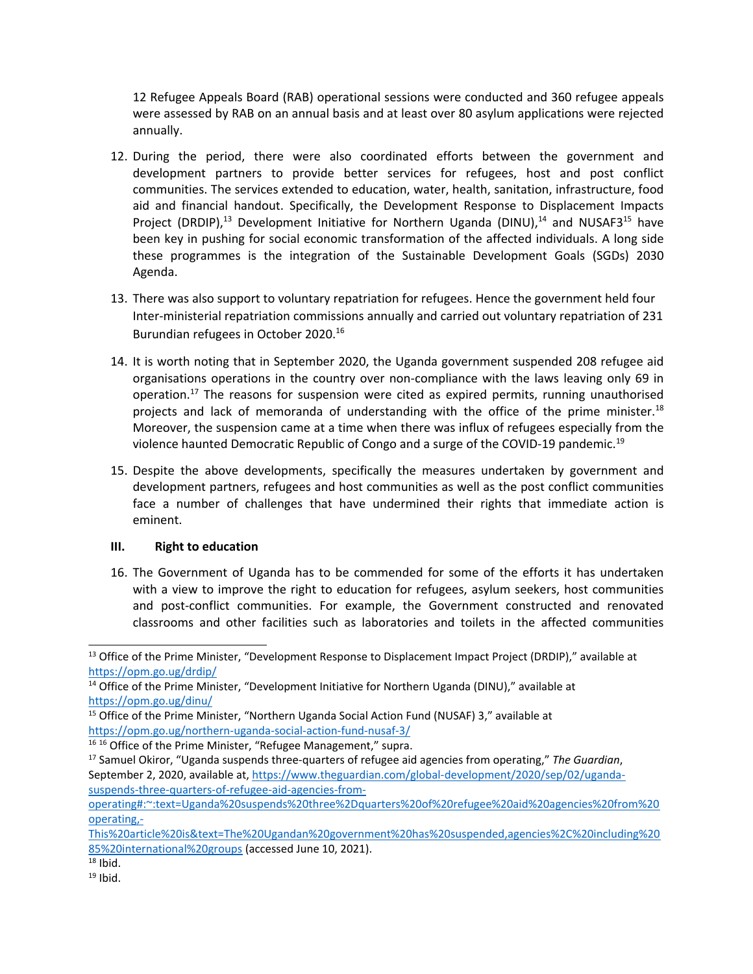12 Refugee Appeals Board (RAB) operational sessions were conducted and 360 refugee appeals were assessed by RAB on an annual basis and at least over 80 asylum applications were rejected annually.

- 12. During the period, there were also coordinated efforts between the government and development partners to provide better services for refugees, host and post conflict communities. The services extended to education, water, health, sanitation, infrastructure, food aid and financial handout. Specifically, the Development Response to Displacement Impacts Project (DRDIP),<sup>13</sup> Development Initiative for Northern Uganda (DINU),<sup>14</sup> and NUSAF3<sup>15</sup> have been key in pushing for social economic transformation of the affected individuals. A long side these programmes is the integration of the Sustainable Development Goals (SGDs) 2030 Agenda.
- 13. There was also support to voluntary repatriation for refugees. Hence the government held four Inter-ministerial repatriation commissions annually and carried out voluntary repatriation of 231 Burundian refugees in October 2020. 16
- 14. It is worth noting that in September 2020, the Uganda government suspended 208 refugee aid organisations operations in the country over non-compliance with the laws leaving only 69 in operation.<sup>17</sup> The reasons for suspension were cited as expired permits, running unauthorised projects and lack of memoranda of understanding with the office of the prime minister.<sup>18</sup> Moreover, the suspension came at <sup>a</sup> time when there was influx of refugees especially from the violence haunted Democratic Republic of Congo and a surge of the COVID-19 pandemic.<sup>19</sup>
- 15. Despite the above developments, specifically the measures undertaken by government and development partners, refugees and host communities as well as the post conflict communities face <sup>a</sup> number of challenges that have undermined their rights that immediate action is eminent.

### **III. Right to education**

16. The Government of Uganda has to be commended for some of the efforts it has undertaken with <sup>a</sup> view to improve the right to education for refugees, asylum seekers, host communities and post-conflict communities. For example, the Government constructed and renovated classrooms and other facilities such as laboratories and toilets in the affected communities

<sup>15</sup> Office of the Prime Minister, "Northern Uganda Social Action Fund (NUSAF) 3," available at <https://opm.go.ug/northern-uganda-social-action-fund-nusaf-3/>

<sup>&</sup>lt;sup>13</sup> Office of the Prime Minister, "Development Response to Displacement Impact Project (DRDIP)," available at <https://opm.go.ug/drdip/>

<sup>&</sup>lt;sup>14</sup> Office of the Prime Minister, "Development Initiative for Northern Uganda (DINU)," available at <https://opm.go.ug/dinu/>

<sup>&</sup>lt;sup>16 16</sup> Office of the Prime Minister, "Refugee Management," supra.

<sup>17</sup> Samuel Okiror, "Uganda suspends three-quarters of refugee aid agencies from operating," *The Guardian*, September 2, 2020, available at, [https://www.theguardian.com/global-development/2020/sep/02/uganda](https://www.theguardian.com/global-development/2020/sep/02/uganda-suspends-three-quarters-of-refugee-aid-agencies-from-operating#:~:text=Uganda%20suspends%20three%2Dquarters%20of%20refugee%20aid%20agencies%20from%20operating,-This%20article%20is&text=The%20Ugandan%20government%20has%20suspended,agencies%2C%20including%2085%20international%20groups)[suspends-three-quarters-of-refugee-aid-agencies-from-](https://www.theguardian.com/global-development/2020/sep/02/uganda-suspends-three-quarters-of-refugee-aid-agencies-from-operating#:~:text=Uganda%20suspends%20three%2Dquarters%20of%20refugee%20aid%20agencies%20from%20operating,-This%20article%20is&text=The%20Ugandan%20government%20has%20suspended,agencies%2C%20including%2085%20international%20groups)

[operating#:~:text=Uganda%20suspends%20three%2Dquarters%20of%20refugee%20aid%20agencies%20from%20](https://www.theguardian.com/global-development/2020/sep/02/uganda-suspends-three-quarters-of-refugee-aid-agencies-from-operating#:~:text=Uganda%20suspends%20three%2Dquarters%20of%20refugee%20aid%20agencies%20from%20operating,-This%20article%20is&text=The%20Ugandan%20government%20has%20suspended,agencies%2C%20including%2085%20international%20groups) [operating,-](https://www.theguardian.com/global-development/2020/sep/02/uganda-suspends-three-quarters-of-refugee-aid-agencies-from-operating#:~:text=Uganda%20suspends%20three%2Dquarters%20of%20refugee%20aid%20agencies%20from%20operating,-This%20article%20is&text=The%20Ugandan%20government%20has%20suspended,agencies%2C%20including%2085%20international%20groups)

[This%20article%20is&text=The%20Ugandan%20government%20has%20suspended,agencies%2C%20including%20](https://www.theguardian.com/global-development/2020/sep/02/uganda-suspends-three-quarters-of-refugee-aid-agencies-from-operating#:~:text=Uganda%20suspends%20three%2Dquarters%20of%20refugee%20aid%20agencies%20from%20operating,-This%20article%20is&text=The%20Ugandan%20government%20has%20suspended,agencies%2C%20including%2085%20international%20groups) [85%20international%20groups](https://www.theguardian.com/global-development/2020/sep/02/uganda-suspends-three-quarters-of-refugee-aid-agencies-from-operating#:~:text=Uganda%20suspends%20three%2Dquarters%20of%20refugee%20aid%20agencies%20from%20operating,-This%20article%20is&text=The%20Ugandan%20government%20has%20suspended,agencies%2C%20including%2085%20international%20groups) (accessed June 10, 2021).

 $^{\rm 18}$  Ibid.

 $^{\rm 19}$  Ibid.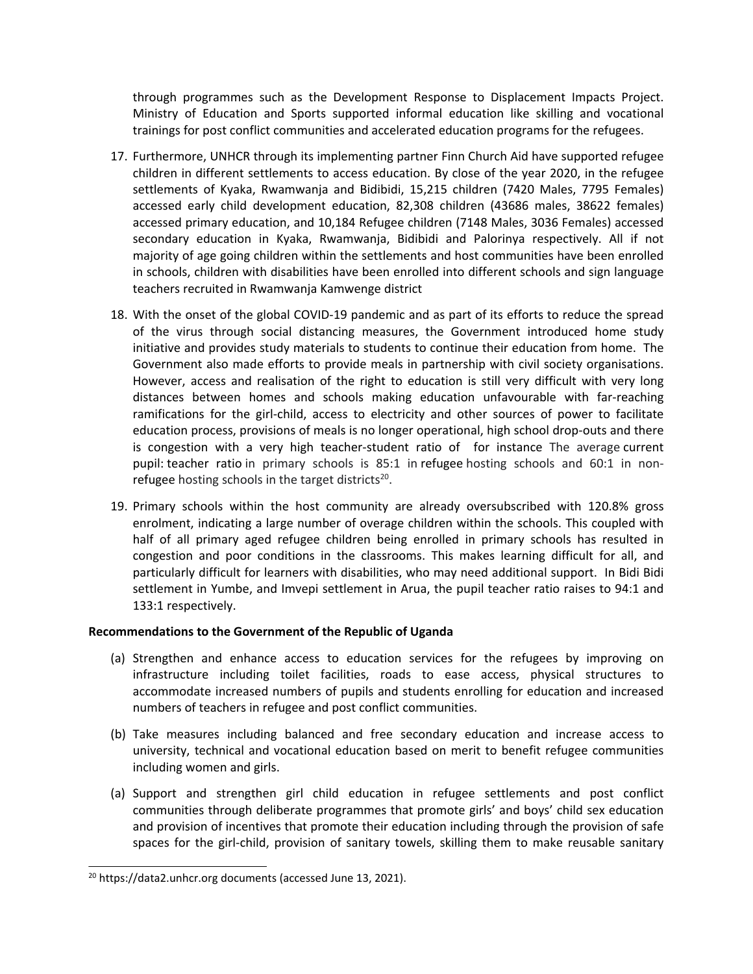through programmes such as the Development Response to Displacement Impacts Project. Ministry of Education and Sports supported informal education like skilling and vocational trainings for post conflict communities and accelerated education programs for the refugees.

- 17. Furthermore, UNHCR through its implementing partner Finn Church Aid have supported refugee children in different settlements to access education. By close of the year 2020, in the refugee settlements of Kyaka, Rwamwanja and Bidibidi, 15,215 children (7420 Males, 7795 Females) accessed early child development education, 82,308 children (43686 males, 38622 females) accessed primary education, and 10,184 Refugee children (7148 Males, 3036 Females) accessed secondary education in Kyaka, Rwamwanja, Bidibidi and Palorinya respectively. All if not majority of age going children within the settlements and host communities have been enrolled in schools, children with disabilities have been enrolled into different schools and sign language teachers recruited in Rwamwanja Kamwenge district
- 18. With the onset of the global COVID-19 pandemic and as part of its efforts to reduce the spread of the virus through social distancing measures, the Government introduced home study initiative and provides study materials to students to continue their education from home. The Government also made efforts to provide meals in partnership with civil society organisations. However, access and realisation of the right to education is still very difficult with very long distances between homes and schools making education unfavourable with far-reaching ramifications for the girl-child, access to electricity and other sources of power to facilitate education process, provisions of meals is no longer operational, high school drop-outs and there is congestion with <sup>a</sup> very high teacher-student ratio of for instance The average current pupil: teacher ratio in primary schools is 85:1 in refugee hosting schools and 60:1 in nonrefugee hosting schools in the target districts<sup>20</sup>.
- 19. Primary schools within the host community are already oversubscribed with 120.8% gross enrolment, indicating <sup>a</sup> large number of overage children within the schools. This coupled with half of all primary aged refugee children being enrolled in primary schools has resulted in congestion and poor conditions in the classrooms. This makes learning difficult for all, and particularly difficult for learners with disabilities, who may need additional support. In Bidi Bidi settlement in Yumbe, and Imvepi settlement in Arua, the pupil teacher ratio raises to 94:1 and 133:1 respectively.

- (a) Strengthen and enhance access to education services for the refugees by improving on infrastructure including toilet facilities, roads to ease access, physical structures to accommodate increased numbers of pupils and students enrolling for education and increased numbers of teachers in refugee and post conflict communities.
- (b) Take measures including balanced and free secondary education and increase access to university, technical and vocational education based on merit to benefit refugee communities including women and girls.
- (a) Support and strengthen girl child education in refugee settlements and post conflict communities through deliberate programmes that promote girls' and boys' child sex education and provision of incentives that promote their education including through the provision of safe spaces for the girl-child, provision of sanitary towels, skilling them to make reusable sanitary

<sup>&</sup>lt;sup>20</sup> https://data2.unhcr.org documents (accessed June 13, 2021).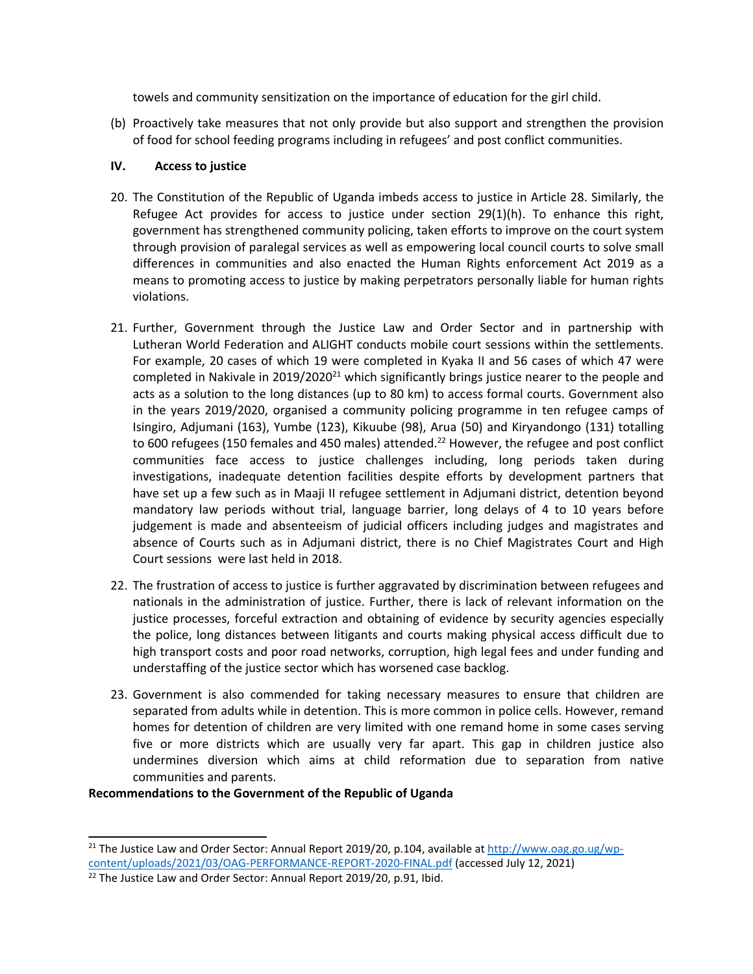towels and community sensitization on the importance of education for the girl child.

(b) Proactively take measures that not only provide but also support and strengthen the provision of food for school feeding programs including in refugees' and post conflict communities.

### **IV. Access to justice**

- 20. The Constitution of the Republic of Uganda imbeds access to justice in Article 28. Similarly, the Refugee Act provides for access to justice under section 29(1)(h). To enhance this right, government has strengthened community policing, taken efforts to improve on the court system through provision of paralegal services as well as empowering local council courts to solve small differences in communities and also enacted the Human Rights enforcement Act 2019 as <sup>a</sup> means to promoting access to justice by making perpetrators personally liable for human rights violations.
- 21. Further, Government through the Justice Law and Order Sector and in partnership with Lutheran World Federation and ALIGHT conducts mobile court sessions within the settlements. For example, 20 cases of which 19 were completed in Kyaka II and 56 cases of which 47 were completed in Nakivale in 2019/2020<sup>21</sup> which significantly brings justice nearer to the people and acts as <sup>a</sup> solution to the long distances (up to 80 km) to access formal courts. Government also in the years 2019/2020, organised <sup>a</sup> community policing programme in ten refugee camps of Isingiro, Adjumani (163), Yumbe (123), Kikuube (98), Arua (50) and Kiryandongo (131) totalling to 600 refugees (150 females and 450 males) attended.<sup>22</sup> However, the refugee and post conflict communities face access to justice challenges including, long periods taken during investigations, inadequate detention facilities despite efforts by development partners that have set up <sup>a</sup> few such as in Maaji II refugee settlement in Adjumani district, detention beyond mandatory law periods without trial, language barrier, long delays of 4 to 10 years before judgement is made and absenteeism of judicial officers including judges and magistrates and absence of Courts such as in Adjumani district, there is no Chief Magistrates Court and High Court sessions were last held in 2018.
- 22. The frustration of access to justice is further aggravated by discrimination between refugees and nationals in the administration of justice. Further, there is lack of relevant information on the justice processes, forceful extraction and obtaining of evidence by security agencies especially the police, long distances between litigants and courts making physical access difficult due to high transport costs and poor road networks, corruption, high legal fees and under funding and understaffing of the justice sector which has worsened case backlog.
- 23. Government is also commended for taking necessary measures to ensure that children are separated from adults while in detention. This is more common in police cells. However, remand homes for detention of children are very limited with one remand home in some cases serving five or more districts which are usually very far apart. This gap in children justice also undermines diversion which aims at child reformation due to separation from native communities and parents.

<sup>&</sup>lt;sup>21</sup> The Justice Law and Order Sector: Annual Report 2019/20, p.104, available at [http://www.oag.go.ug/wp](http://www.oag.go.ug/wp-content/uploads/2021/03/OAG-PERFORMANCE-REPORT-2020-FINAL.pdf)[content/uploads/2021/03/OAG-PERFORMANCE-REPORT-2020-FINAL.pdf](http://www.oag.go.ug/wp-content/uploads/2021/03/OAG-PERFORMANCE-REPORT-2020-FINAL.pdf) (accessed July 12, 2021)

<sup>&</sup>lt;sup>22</sup> The Justice Law and Order Sector: Annual Report 2019/20, p.91, Ibid.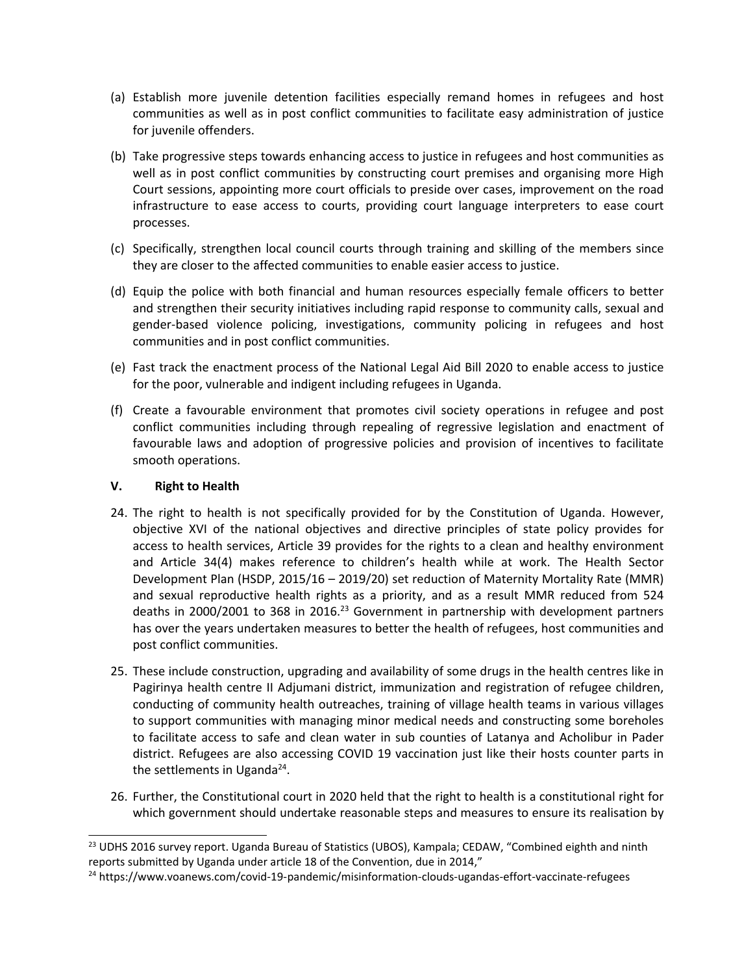- (a) Establish more juvenile detention facilities especially remand homes in refugees and host communities as well as in post conflict communities to facilitate easy administration of justice for juvenile offenders.
- (b) Take progressive steps towards enhancing access to justice in refugees and host communities as well as in post conflict communities by constructing court premises and organising more High Court sessions, appointing more court officials to preside over cases, improvement on the road infrastructure to ease access to courts, providing court language interpreters to ease court processes.
- (c) Specifically, strengthen local council courts through training and skilling of the members since they are closer to the affected communities to enable easier access to justice.
- (d) Equip the police with both financial and human resources especially female officers to better and strengthen their security initiatives including rapid response to community calls, sexual and gender-based violence policing, investigations, community policing in refugees and host communities and in post conflict communities.
- (e) Fast track the enactment process of the National Legal Aid Bill 2020 to enable access to justice for the poor, vulnerable and indigent including refugees in Uganda.
- (f) Create <sup>a</sup> favourable environment that promotes civil society operations in refugee and post conflict communities including through repealing of regressive legislation and enactment of favourable laws and adoption of progressive policies and provision of incentives to facilitate smooth operations.

## **V. Right to Health**

- 24. The right to health is not specifically provided for by the Constitution of Uganda. However, objective XVI of the national objectives and directive principles of state policy provides for access to health services, Article 39 provides for the rights to <sup>a</sup> clean and healthy environment and Article 34(4) makes reference to children'<sup>s</sup> health while at work. The Health Sector Development Plan (HSDP, 2015/16 – 2019/20) set reduction of Maternity Mortality Rate (MMR) and sexual reproductive health rights as <sup>a</sup> priority, and as <sup>a</sup> result MMR reduced from 524 deaths in 2000/2001 to 368 in 2016.<sup>23</sup> Government in partnership with development partners has over the years undertaken measures to better the health of refugees, host communities and post conflict communities.
- 25. These include construction, upgrading and availability of some drugs in the health centres like in Pagirinya health centre II Adjumani district, immunization and registration of refugee children, conducting of community health outreaches, training of village health teams in various villages to support communities with managing minor medical needs and constructing some boreholes to facilitate access to safe and clean water in sub counties of Latanya and Acholibur in Pader district. Refugees are also accessing COVID 19 vaccination just like their hosts counter parts in the settlements in Uganda<sup>24</sup>.
- 26. Further, the Constitutional court in 2020 held that the right to health is <sup>a</sup> constitutional right for which government should undertake reasonable steps and measures to ensure its realisation by

<sup>&</sup>lt;sup>23</sup> UDHS 2016 survey report. Uganda Bureau of Statistics (UBOS), Kampala; CEDAW, "Combined eighth and ninth reports submitted by Uganda under article 18 of the Convention, due in 2014,"

<sup>24</sup> https://www.voanews.com/covid-19-pandemic/misinformation-clouds-ugandas-effort-vaccinate-refugees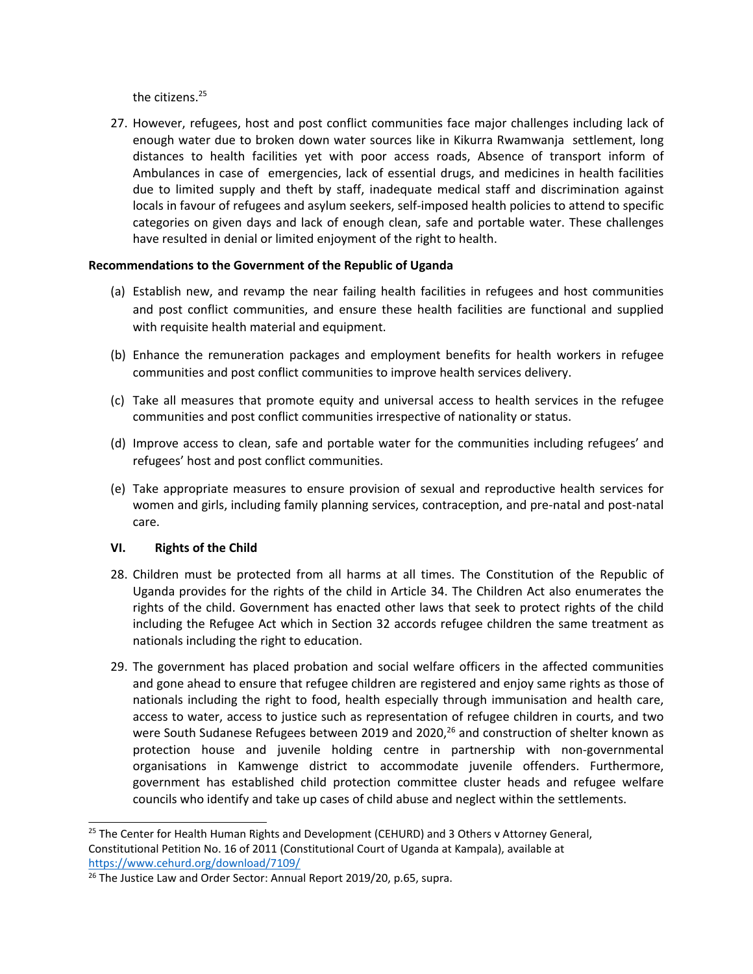the citizens.<sup>25</sup>

27. However, refugees, host and post conflict communities face major challenges including lack of enough water due to broken down water sources like in Kikurra Rwamwanja settlement, long distances to health facilities yet with poor access roads, Absence of transport inform of Ambulances in case of emergencies, lack of essential drugs, and medicines in health facilities due to limited supply and theft by staff, inadequate medical staff and discrimination against locals in favour of refugees and asylum seekers, self-imposed health policies to attend to specific categories on given days and lack of enough clean, safe and portable water. These challenges have resulted in denial or limited enjoyment of the right to health.

### **Recommendations to the Government of the Republic of Uganda**

- (a) Establish new, and revamp the near failing health facilities in refugees and host communities and post conflict communities, and ensure these health facilities are functional and supplied with requisite health material and equipment.
- (b) Enhance the remuneration packages and employment benefits for health workers in refugee communities and post conflict communities to improve health services delivery.
- (c) Take all measures that promote equity and universal access to health services in the refugee communities and post conflict communities irrespective of nationality or status.
- (d) Improve access to clean, safe and portable water for the communities including refugees' and refugees' host and post conflict communities.
- (e) Take appropriate measures to ensure provision of sexual and reproductive health services for women and girls, including family planning services, contraception, and pre-natal and post-natal care.

### **VI. Rights of the Child**

- 28. Children must be protected from all harms at all times. The Constitution of the Republic of Uganda provides for the rights of the child in Article 34. The Children Act also enumerates the rights of the child. Government has enacted other laws that seek to protect rights of the child including the Refugee Act which in Section 32 accords refugee children the same treatment as nationals including the right to education.
- 29. The government has placed probation and social welfare officers in the affected communities and gone ahead to ensure that refugee children are registered and enjoy same rights as those of nationals including the right to food, health especially through immunisation and health care, access to water, access to justice such as representation of refugee children in courts, and two were South Sudanese Refugees between 2019 and 2020,<sup>26</sup> and construction of shelter known as protection house and juvenile holding centre in partnership with non-governmental organisations in Kamwenge district to accommodate juvenile offenders. Furthermore, government has established child protection committee cluster heads and refugee welfare councils who identify and take up cases of child abuse and neglect within the settlements.

<sup>&</sup>lt;sup>25</sup> The Center for Health Human Rights and Development (CEHURD) and 3 Others v Attorney General, Constitutional Petition No. 16 of 2011 (Constitutional Court of Uganda at Kampala), available at <https://www.cehurd.org/download/7109/>

<sup>&</sup>lt;sup>26</sup> The Justice Law and Order Sector: Annual Report 2019/20, p.65, supra.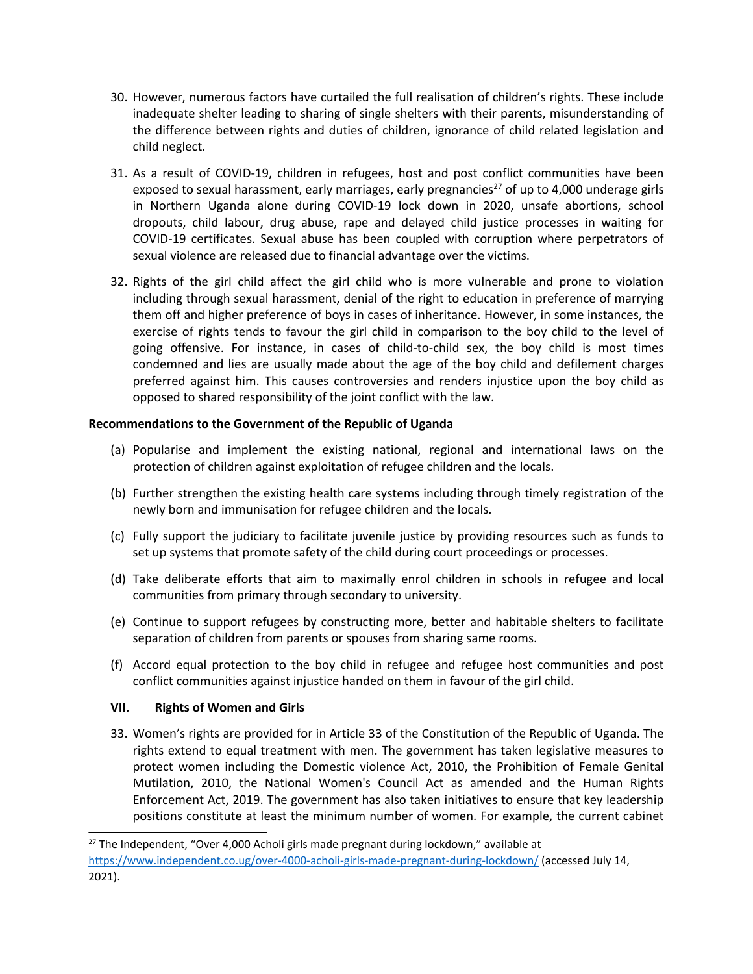- 30. However, numerous factors have curtailed the full realisation of children'<sup>s</sup> rights. These include inadequate shelter leading to sharing of single shelters with their parents, misunderstanding of the difference between rights and duties of children, ignorance of child related legislation and child neglect.
- 31. As <sup>a</sup> result of COVID-19, children in refugees, host and post conflict communities have been exposed to sexual harassment, early marriages, early pregnancies<sup>27</sup> of up to 4,000 underage girls in Northern Uganda alone during COVID-19 lock down in 2020, unsafe abortions, school dropouts, child labour, drug abuse, rape and delayed child justice processes in waiting for COVID-19 certificates. Sexual abuse has been coupled with corruption where perpetrators of sexual violence are released due to financial advantage over the victims.
- 32. Rights of the girl child affect the girl child who is more vulnerable and prone to violation including through sexual harassment, denial of the right to education in preference of marrying them off and higher preference of boys in cases of inheritance. However, in some instances, the exercise of rights tends to favour the girl child in comparison to the boy child to the level of going offensive. For instance, in cases of child-to-child sex, the boy child is most times condemned and lies are usually made about the age of the boy child and defilement charges preferred against him. This causes controversies and renders injustice upon the boy child as opposed to shared responsibility of the joint conflict with the law.

# **Recommendations to the Government of the Republic of Uganda**

- (a) Popularise and implement the existing national, regional and international laws on the protection of children against exploitation of refugee children and the locals.
- (b) Further strengthen the existing health care systems including through timely registration of the newly born and immunisation for refugee children and the locals.
- (c) Fully support the judiciary to facilitate juvenile justice by providing resources such as funds to set up systems that promote safety of the child during court proceedings or processes.
- (d) Take deliberate efforts that aim to maximally enrol children in schools in refugee and local communities from primary through secondary to university.
- (e) Continue to support refugees by constructing more, better and habitable shelters to facilitate separation of children from parents or spouses from sharing same rooms.
- (f) Accord equal protection to the boy child in refugee and refugee host communities and post conflict communities against injustice handed on them in favour of the girl child.

### **VII. Rights of Women and Girls**

33. Women'<sup>s</sup> rights are provided for in Article 33 of the Constitution of the Republic of Uganda. The rights extend to equal treatment with men. The government has taken legislative measures to protect women including the Domestic violence Act, 2010, the Prohibition of Female Genital Mutilation, 2010, the National Women's Council Act as amended and the Human Rights Enforcement Act, 2019. The government has also taken initiatives to ensure that key leadership positions constitute at least the minimum number of women. For example, the current cabinet

<sup>&</sup>lt;sup>27</sup> The Independent, "Over 4,000 Acholi girls made pregnant during lockdown," available at <https://www.independent.co.ug/over-4000-acholi-girls-made-pregnant-during-lockdown/> (accessed July 14, 2021).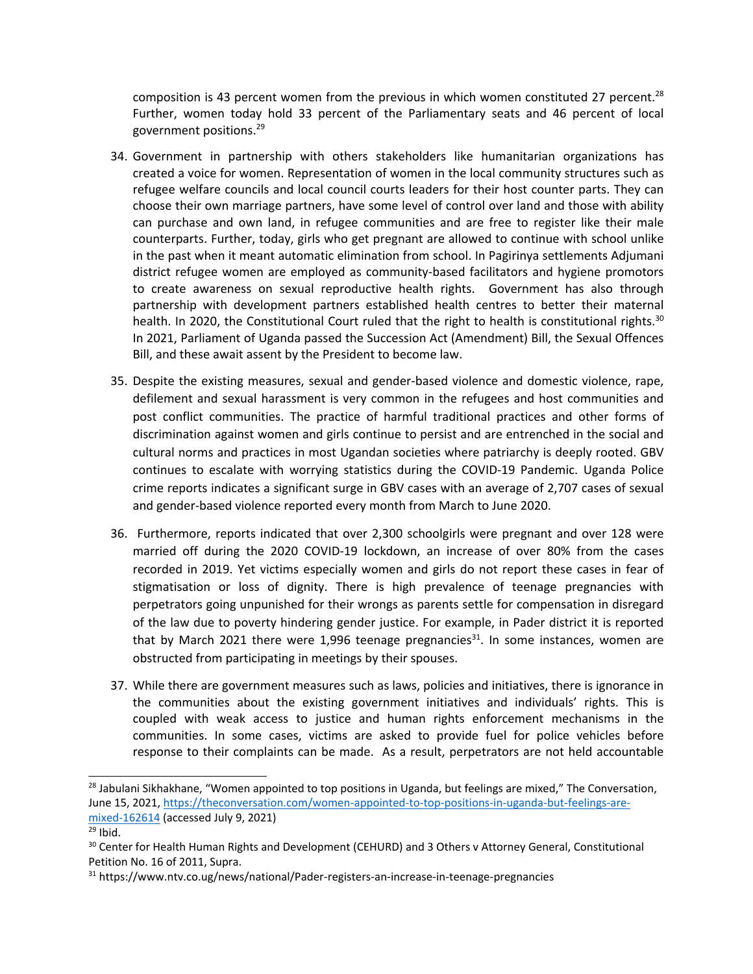composition is 43 percent women from the previous in which women constituted 27 percent. $^{28}$ Further, women today hold 33 percent of the Parliamentary seats and 46 percent of local government positions. 29

- 34. Government in partnership with others stakeholders like humanitarian organizations has created <sup>a</sup> voice for women. Representation of women in the local community structures such as refugee welfare councils and local council courts leaders for their host counter parts. They can choose their own marriage partners, have some level of control over land and those with ability can purchase and own land, in refugee communities and are free to register like their male counterparts. Further, today, girls who get pregnant are allowed to continue with school unlike in the past when it meant automatic elimination from school. In Pagirinya settlements Adjumani district refugee women are employed as community-based facilitators and hygiene promotors to create awareness on sexual reproductive health rights. Government has also through partnership with development partners established health centres to better their maternal health. In 2020, the Constitutional Court ruled that the right to health is constitutional rights.<sup>30</sup> In 2021, Parliament of Uganda passed the Succession Act (Amendment) Bill, the Sexual Offences Bill, and these await assent by the President to become law.
- 35. Despite the existing measures, sexual and gender-based violence and domestic violence, rape, defilement and sexual harassment is very common in the refugees and host communities and post conflict communities. The practice of harmful traditional practices and other forms of discrimination against women and girls continue to persist and are entrenched in the social and cultural norms and practices in most Ugandan societies where patriarchy is deeply rooted. GBV continues to escalate with worrying statistics during the COVID-19 Pandemic. Uganda Police crime reports indicates <sup>a</sup> significant surge in GBV cases with an average of 2,707 cases of sexual and gender-based violence reported every month from March to June 2020.
- 36. Furthermore, reports indicated that over 2,300 schoolgirls were pregnant and over 128 were married off during the 2020 COVID-19 lockdown, an increase of over 80% from the cases recorded in 2019. Yet victims especially women and girls do not report these cases in fear of stigmatisation or loss of dignity. There is high prevalence of teenage pregnancies with perpetrators going unpunished for their wrongs as parents settle for compensation in disregard of the law due to poverty hindering gender justice. For example, in Pader district it is reported that by March 2021 there were 1,996 teenage pregnancies<sup>31</sup>. In some instances, women are obstructed from participating in meetings by their spouses.
- 37. While there are government measures such as laws, policies and initiatives, there is ignorance in the communities about the existing government initiatives and individuals' rights. This is coupled with weak access to justice and human rights enforcement mechanisms in the communities. In some cases, victims are asked to provide fuel for police vehicles before response to their complaints can be made. As <sup>a</sup> result, perpetrators are not held accountable

<sup>&</sup>lt;sup>28</sup> Jabulani Sikhakhane, "Women appointed to top positions in Uganda, but feelings are mixed," The Conversation, June 15, 2021, [https://theconversation.com/women-appointed-to-top-positions-in-uganda-but-feelings-are](https://theconversation.com/women-appointed-to-top-positions-in-uganda-but-feelings-are-mixed-162614)[mixed-162614](https://theconversation.com/women-appointed-to-top-positions-in-uganda-but-feelings-are-mixed-162614) (accessed July 9, 2021)

<sup>&</sup>lt;sup>29</sup> Ibid.

 $^{30}$  Center for Health Human Rights and Development (CEHURD) and 3 Others v Attorney General, Constitutional Petition No. 16 of 2011, Supra.

<sup>&</sup>lt;sup>31</sup> https://www.ntv.co.ug/news/national/Pader-registers-an-increase-in-teenage-pregnancies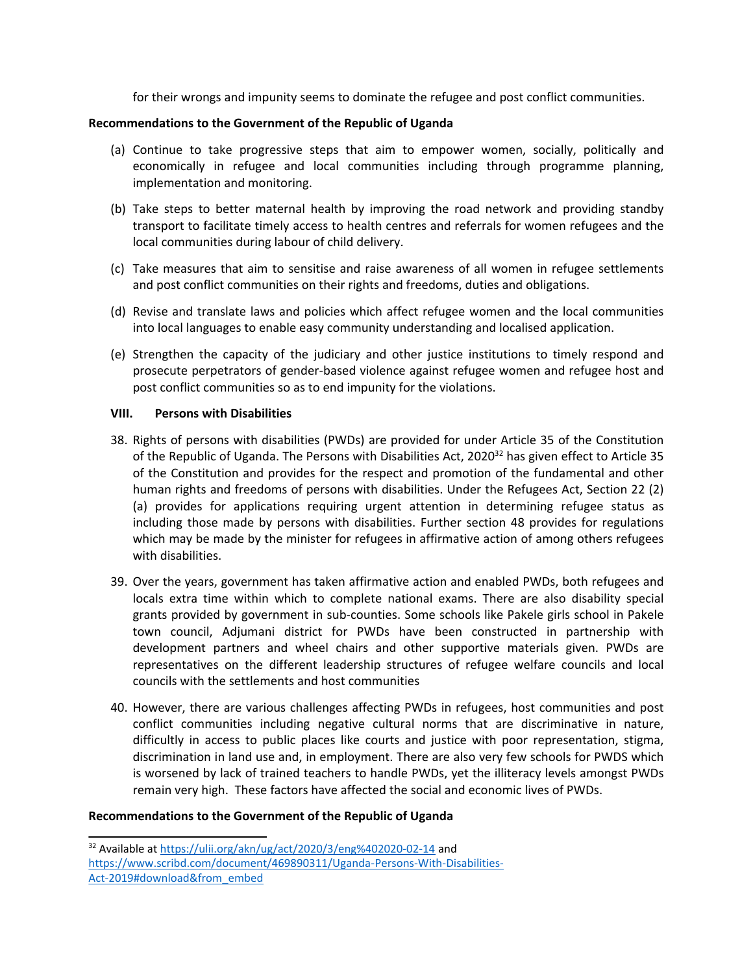for their wrongs and impunity seems to dominate the refugee and post conflict communities.

#### **Recommendations to the Government of the Republic of Uganda**

- (a) Continue to take progressive steps that aim to empower women, socially, politically and economically in refugee and local communities including through programme planning, implementation and monitoring.
- (b) Take steps to better maternal health by improving the road network and providing standby transport to facilitate timely access to health centres and referrals for women refugees and the local communities during labour of child delivery.
- (c) Take measures that aim to sensitise and raise awareness of all women in refugee settlements and post conflict communities on their rights and freedoms, duties and obligations.
- (d) Revise and translate laws and policies which affect refugee women and the local communities into local languages to enable easy community understanding and localised application.
- (e) Strengthen the capacity of the judiciary and other justice institutions to timely respond and prosecute perpetrators of gender-based violence against refugee women and refugee host and post conflict communities so as to end impunity for the violations.

#### **VIII. Persons with Disabilities**

- 38. Rights of persons with disabilities (PWDs) are provided for under Article 35 of the Constitution of the Republic of Uganda. The Persons with Disabilities Act, 2020<sup>32</sup> has given effect to Article 35 of the Constitution and provides for the respect and promotion of the fundamental and other human rights and freedoms of persons with disabilities. Under the Refugees Act, Section 22 (2) (a) provides for applications requiring urgent attention in determining refugee status as including those made by persons with disabilities. Further section 48 provides for regulations which may be made by the minister for refugees in affirmative action of among others refugees with disabilities.
- 39. Over the years, government has taken affirmative action and enabled PWDs, both refugees and locals extra time within which to complete national exams. There are also disability special grants provided by government in sub-counties. Some schools like Pakele girls school in Pakele town council, Adjumani district for PWDs have been constructed in partnership with development partners and wheel chairs and other supportive materials given. PWDs are representatives on the different leadership structures of refugee welfare councils and local councils with the settlements and host communities
- 40. However, there are various challenges affecting PWDs in refugees, host communities and post conflict communities including negative cultural norms that are discriminative in nature, difficultly in access to public places like courts and justice with poor representation, stigma, discrimination in land use and, in employment. There are also very few schools for PWDS which is worsened by lack of trained teachers to handle PWDs, yet the illiteracy levels amongst PWDs remain very high. These factors have affected the social and economic lives of PWDs.

<sup>&</sup>lt;sup>32</sup> Available at <https://ulii.org/akn/ug/act/2020/3/eng%402020-02-14> and [https://www.scribd.com/document/469890311/Uganda-Persons-With-Disabilities-](https://www.scribd.com/document/469890311/Uganda-Persons-With-Disabilities-Act-2019#download&from_embed)[Act-2019#download&from\\_embed](https://www.scribd.com/document/469890311/Uganda-Persons-With-Disabilities-Act-2019#download&from_embed)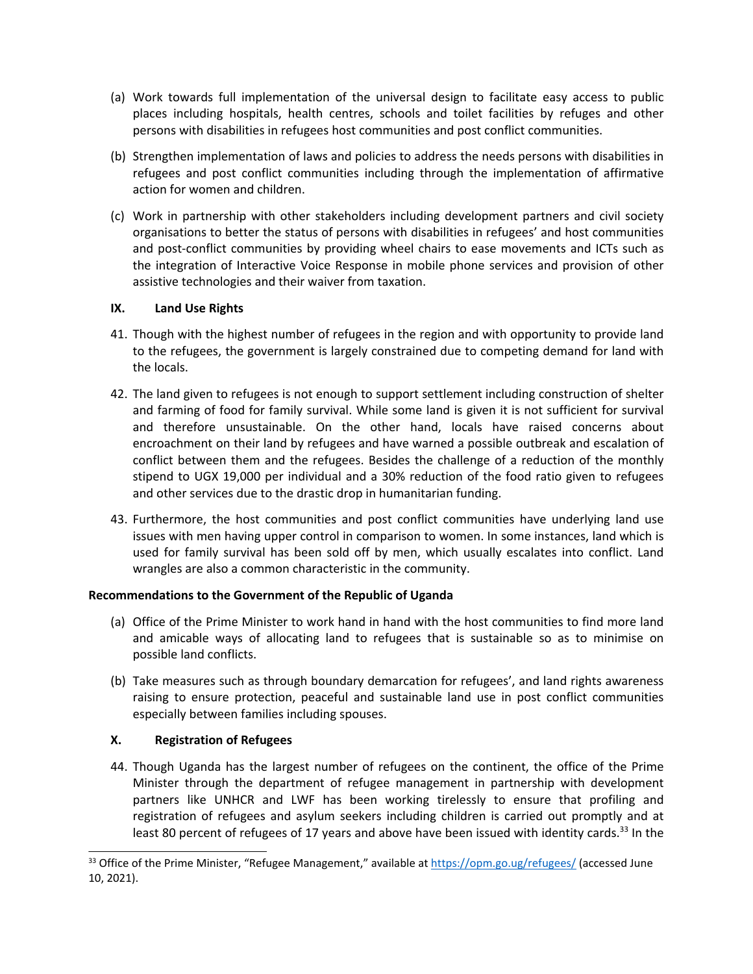- (a) Work towards full implementation of the universal design to facilitate easy access to public places including hospitals, health centres, schools and toilet facilities by refuges and other persons with disabilities in refugees host communities and post conflict communities.
- (b) Strengthen implementation of laws and policies to address the needs persons with disabilities in refugees and post conflict communities including through the implementation of affirmative action for women and children.
- (c) Work in partnership with other stakeholders including development partners and civil society organisations to better the status of persons with disabilities in refugees' and host communities and post-conflict communities by providing wheel chairs to ease movements and ICTs such as the integration of Interactive Voice Response in mobile phone services and provision of other assistive technologies and their waiver from taxation.

# **IX. Land Use Rights**

- 41. Though with the highest number of refugees in the region and with opportunity to provide land to the refugees, the government is largely constrained due to competing demand for land with the locals.
- 42. The land given to refugees is not enough to support settlement including construction of shelter and farming of food for family survival. While some land is given it is not sufficient for survival and therefore unsustainable. On the other hand, locals have raised concerns about encroachment on their land by refugees and have warned <sup>a</sup> possible outbreak and escalation of conflict between them and the refugees. Besides the challenge of <sup>a</sup> reduction of the monthly stipend to UGX 19,000 per individual and <sup>a</sup> 30% reduction of the food ratio given to refugees and other services due to the drastic drop in humanitarian funding.
- 43. Furthermore, the host communities and post conflict communities have underlying land use issues with men having upper control in comparison to women. In some instances, land which is used for family survival has been sold off by men, which usually escalates into conflict. Land wrangles are also <sup>a</sup> common characteristic in the community.

### **Recommendations to the Government of the Republic of Uganda**

- (a) Office of the Prime Minister to work hand in hand with the host communities to find more land and amicable ways of allocating land to refugees that is sustainable so as to minimise on possible land conflicts.
- (b) Take measures such as through boundary demarcation for refugees', and land rights awareness raising to ensure protection, peaceful and sustainable land use in post conflict communities especially between families including spouses.

### **X. Registration of Refugees**

44. Though Uganda has the largest number of refugees on the continent, the office of the Prime Minister through the department of refugee management in partnership with development partners like UNHCR and LWF has been working tirelessly to ensure that profiling and registration of refugees and asylum seekers including children is carried out promptly and at least 80 percent of refugees of 17 years and above have been issued with identity cards.<sup>33</sup> In the

<sup>&</sup>lt;sup>33</sup> Office of the Prime Minister, "Refugee Management," available at <https://opm.go.ug/refugees/> (accessed June 10, 2021).